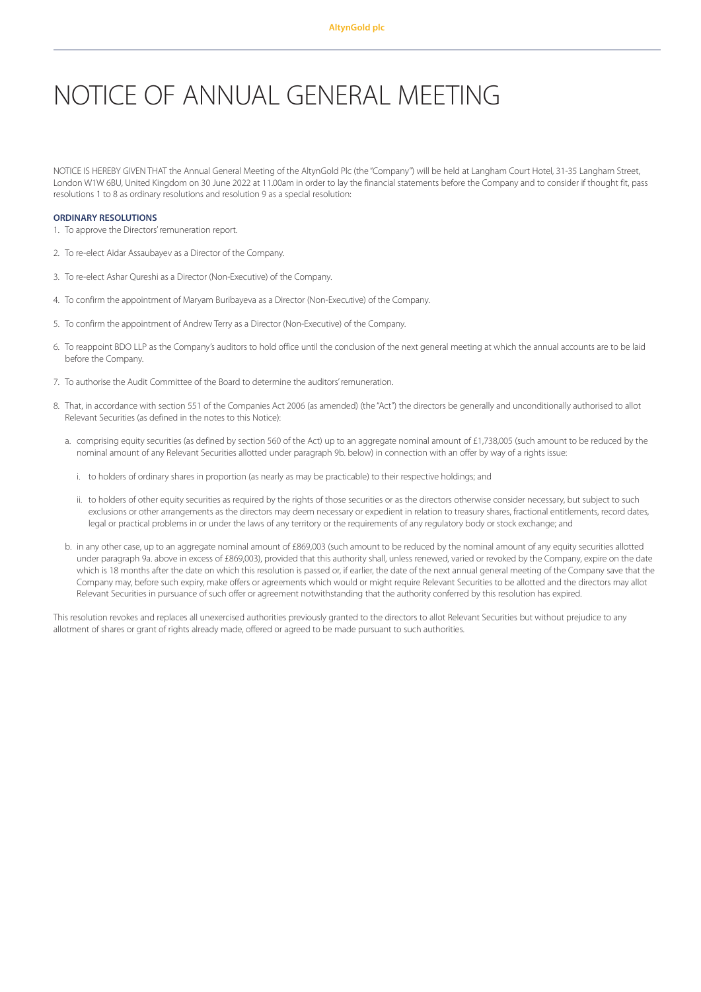# NOTICE OF ANNUAL GENERAL MEETING

NOTICE IS HEREBY GIVEN THAT the Annual General Meeting of the AltynGold Plc (the "Company") will be held at Langham Court Hotel, 31-35 Langham Street, London W1W 6BU, United Kingdom on 30 June 2022 at 11.00am in order to lay the financial statements before the Company and to consider if thought fit, pass resolutions 1 to 8 as ordinary resolutions and resolution 9 as a special resolution:

#### **ORDINARY RESOLUTIONS**

- 1. To approve the Directors'remuneration report.
- 2. To re-elect Aidar Assaubayev as a Director of the Company.
- 3. To re-elect Ashar Qureshi as a Director (Non-Executive) of the Company.
- 4. To confirm the appointment of Maryam Buribayeva as a Director (Non-Executive) of the Company.
- 5. To confirm the appointment of Andrew Terry as a Director (Non-Executive) of the Company.
- 6. To reappoint BDO LLP as the Company's auditors to hold office until the conclusion of the next general meeting at which the annual accounts are to be laid before the Company.
- 7. To authorise the Audit Committee of the Board to determine the auditors'remuneration.
- 8. That, in accordance with section 551 of the Companies Act 2006 (as amended) (the "Act") the directors be generally and unconditionally authorised to allot Relevant Securities (as defined in the notes to this Notice):
	- a. comprising equity securities (as defined by section 560 of the Act) up to an aggregate nominal amount of £1,738,005 (such amount to be reduced by the nominal amount of any Relevant Securities allotted under paragraph 9b. below) in connection with an offer by way of a rights issue:
		- i. to holders of ordinary shares in proportion (as nearly as may be practicable) to their respective holdings; and
		- ii. to holders of other equity securities as required by the rights of those securities or as the directors otherwise consider necessary, but subject to such exclusions or other arrangements as the directors may deem necessary or expedient in relation to treasury shares, fractional entitlements, record dates, legal or practical problems in or under the laws of any territory or the requirements of any regulatory body or stock exchange; and
	- b. in any other case, up to an aggregate nominal amount of £869,003 (such amount to be reduced by the nominal amount of any equity securities allotted under paragraph 9a. above in excess of £869,003), provided that this authority shall, unless renewed, varied or revoked by the Company, expire on the date which is 18 months after the date on which this resolution is passed or, if earlier, the date of the next annual general meeting of the Company save that the Company may, before such expiry, make offers or agreements which would or might require Relevant Securities to be allotted and the directors may allot Relevant Securities in pursuance of such offer or agreement notwithstanding that the authority conferred by this resolution has expired.

This resolution revokes and replaces all unexercised authorities previously granted to the directors to allot Relevant Securities but without prejudice to any allotment of shares or grant of rights already made, offered or agreed to be made pursuant to such authorities.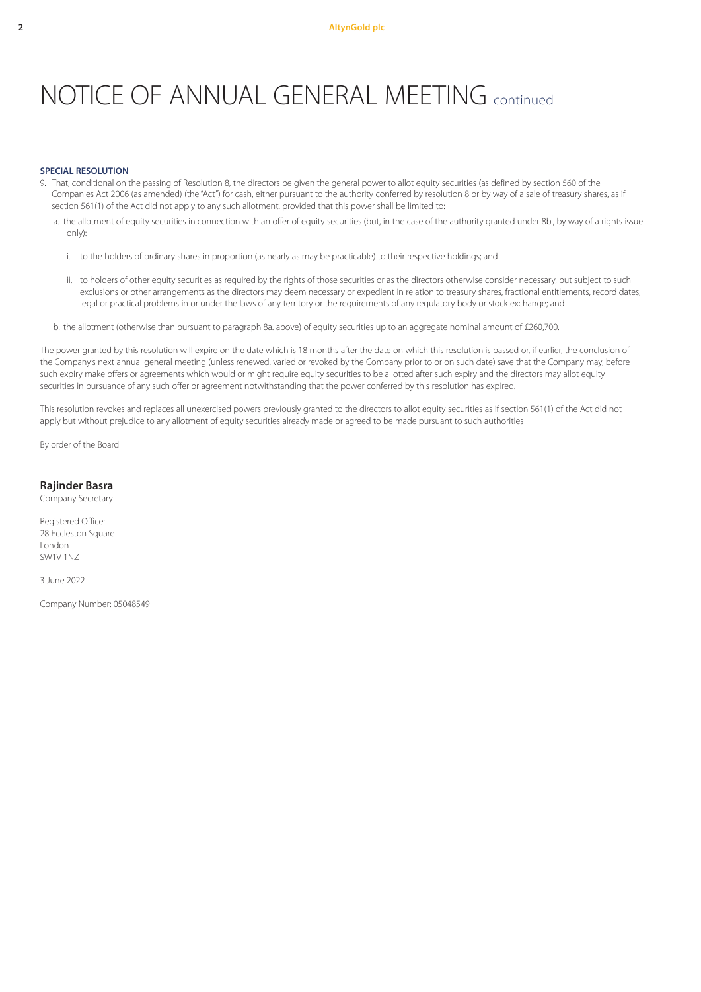## NOTICE OF ANNUAL GENERAL MEETING continued

## **SPECIAL RESOLUTION**

- 9. That, conditional on the passing of Resolution 8, the directors be given the general power to allot equity securities (as defined by section 560 of the Companies Act 2006 (as amended) (the "Act") for cash, either pursuant to the authority conferred by resolution 8 or by way of a sale of treasury shares, as if section 561(1) of the Act did not apply to any such allotment, provided that this power shall be limited to:
	- a. the allotment of equity securities in connection with an offer of equity securities (but, in the case of the authority granted under 8b., by way of a rights issue only):
		- i. to the holders of ordinary shares in proportion (as nearly as may be practicable) to their respective holdings; and
		- ii. to holders of other equity securities as required by the rights of those securities or as the directors otherwise consider necessary, but subject to such exclusions or other arrangements as the directors may deem necessary or expedient in relation to treasury shares, fractional entitlements, record dates, legal or practical problems in or under the laws of any territory or the requirements of any regulatory body or stock exchange; and
	- b. the allotment (otherwise than pursuant to paragraph 8a. above) of equity securities up to an aggregate nominal amount of £260,700.

The power granted by this resolution will expire on the date which is 18 months after the date on which this resolution is passed or, if earlier, the conclusion of the Company's next annual general meeting (unless renewed, varied or revoked by the Company prior to or on such date) save that the Company may, before such expiry make offers or agreements which would or might require equity securities to be allotted after such expiry and the directors may allot equity securities in pursuance of any such offer or agreement notwithstanding that the power conferred by this resolution has expired.

This resolution revokes and replaces all unexercised powers previously granted to the directors to allot equity securities as if section 561(1) of the Act did not apply but without prejudice to any allotment of equity securities already made or agreed to be made pursuant to such authorities

By order of the Board

## **Rajinder Basra**

Company Secretary

Registered Office: 28 Eccleston Square London SW1V 1NZ

3 June 2022

Company Number: 05048549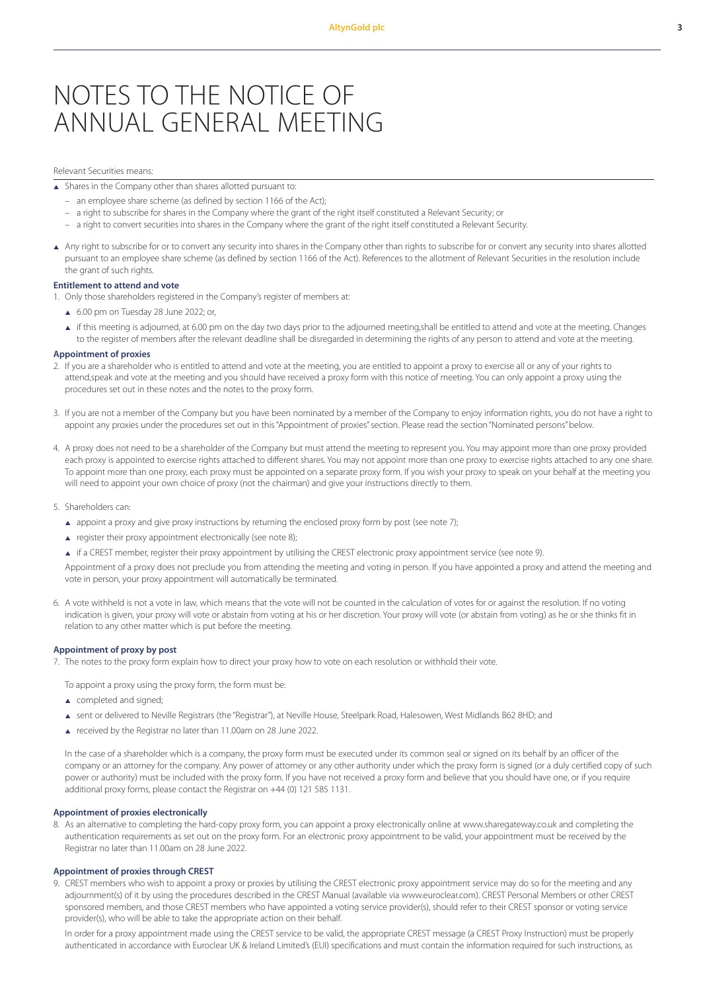## NOTES TO THE NOTICE OF ANNUAL GENERAL MEETING

### Relevant Securities means:

 $\overline{\bullet}$  Shares in the Company other than shares allotted pursuant to:

- an employee share scheme (as defined by section 1166 of the Act);
- a right to subscribe for shares in the Company where the grant of the right itself constituted a Relevant Security; or
- a right to convert securities into shares in the Company where the grant of the right itself constituted a Relevant Security.
- Any right to subscribe for or to convert any security into shares in the Company other than rights to subscribe for or convert any security into shares allotted pursuant to an employee share scheme (as defined by section 1166 of the Act). References to the allotment of Relevant Securities in the resolution include the grant of such rights.

#### **Entitlement to attend and vote**

- 1. Only those shareholders registered in the Company's register of members at:
	- $6.00$  pm on Tuesday 28 June 2022; or,
	- if this meeting is adjourned, at 6.00 pm on the day two days prior to the adjourned meeting,shall be entitled to attend and vote at the meeting. Changes to the register of members after the relevant deadline shall be disregarded in determining the rights of any person to attend and vote at the meeting.

## **Appointment of proxies**

- 2. If you are a shareholder who is entitled to attend and vote at the meeting, you are entitled to appoint a proxy to exercise all or any of your rights to attend,speak and vote at the meeting and you should have received a proxy form with this notice of meeting. You can only appoint a proxy using the procedures set out in these notes and the notes to the proxy form.
- 3. If you are not a member of the Company but you have been nominated by a member of the Company to enjoy information rights, you do not have a right to appoint any proxies under the procedures set out in this "Appointment of proxies" section. Please read the section "Nominated persons" below.
- 4. A proxy does not need to be a shareholder of the Company but must attend the meeting to represent you. You may appoint more than one proxy provided each proxy is appointed to exercise rights attached to different shares. You may not appoint more than one proxy to exercise rights attached to any one share. To appoint more than one proxy, each proxy must be appointed on a separate proxy form. If you wish your proxy to speak on your behalf at the meeting you will need to appoint your own choice of proxy (not the chairman) and give your instructions directly to them.
- 5. Shareholders can:
	- ▲ appoint a proxy and give proxy instructions by returning the enclosed proxy form by post (see note 7);
	- register their proxy appointment electronically (see note 8);
	- <sup>p</sup> if a CREST member, register their proxy appointment by utilising the CREST electronic proxy appointment service (see note 9).

Appointment of a proxy does not preclude you from attending the meeting and voting in person. If you have appointed a proxy and attend the meeting and vote in person, your proxy appointment will automatically be terminated.

6. A vote withheld is not a vote in law, which means that the vote will not be counted in the calculation of votes for or against the resolution. If no voting indication is given, your proxy will vote or abstain from voting at his or her discretion. Your proxy will vote (or abstain from voting) as he or she thinks fit in relation to any other matter which is put before the meeting.

## **Appointment of proxy by post**

7. The notes to the proxy form explain how to direct your proxy how to vote on each resolution or withhold their vote.

To appoint a proxy using the proxy form, the form must be:

- $\triangle$  completed and signed;
- ▲ sent or delivered to Neville Registrars (the "Registrar"), at Neville House, Steelpark Road, Halesowen, West Midlands B62 8HD; and
- <sup>p</sup> received by the Registrar no later than 11.00am on 28 June 2022.

In the case of a shareholder which is a company, the proxy form must be executed under its common seal or signed on its behalf by an officer of the company or an attorney for the company. Any power of attorney or any other authority under which the proxy form is signed (or a duly certified copy of such power or authority) must be included with the proxy form. If you have not received a proxy form and believe that you should have one, or if you require additional proxy forms, please contact the Registrar on +44 (0) 121 585 1131.

#### **Appointment of proxies electronically**

8. As an alternative to completing the hard-copy proxy form, you can appoint a proxy electronically online at www.sharegateway.co.uk and completing the authentication requirements as set out on the proxy form. For an electronic proxy appointment to be valid, your appointment must be received by the Registrar no later than 11.00am on 28 June 2022.

#### **Appointment of proxies through CREST**

9. CREST members who wish to appoint a proxy or proxies by utilising the CREST electronic proxy appointment service may do so for the meeting and any adjournment(s) of it by using the procedures described in the CREST Manual (available via www.euroclear.com). CREST Personal Members or other CREST sponsored members, and those CREST members who have appointed a voting service provider(s), should refer to their CREST sponsor or voting service provider(s), who will be able to take the appropriate action on their behalf.

In order for a proxy appointment made using the CREST service to be valid, the appropriate CREST message (a CREST Proxy Instruction) must be properly authenticated in accordance with Euroclear UK & Ireland Limited's (EUI) specifications and must contain the information required for such instructions, as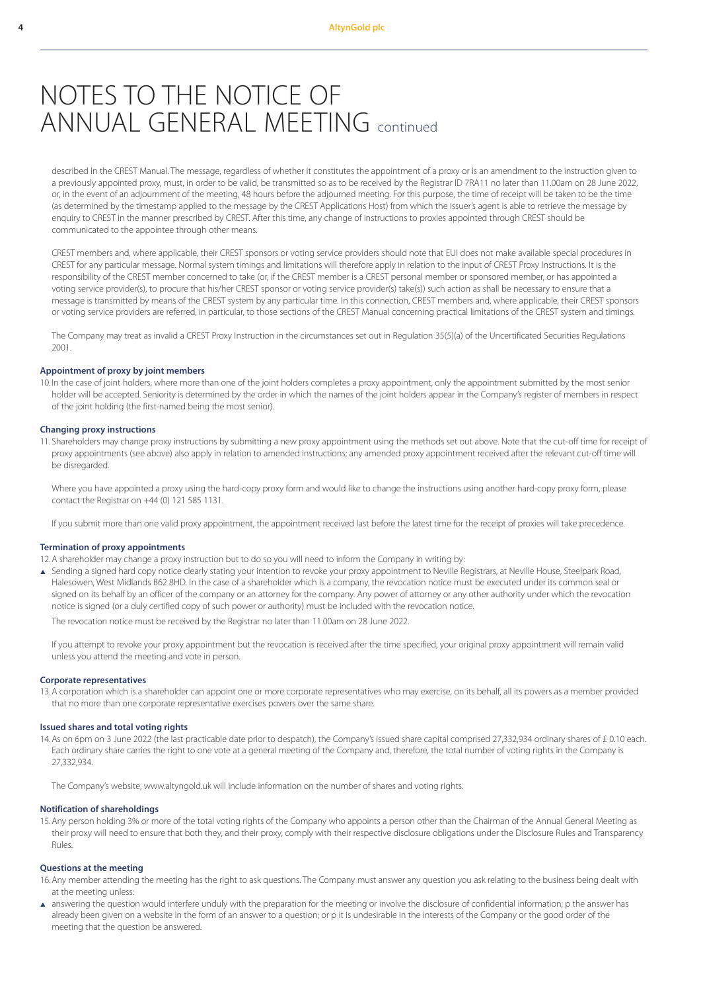## NOTES TO THE NOTICE OF ANNUAL GENERAL MEETING continued

described in the CREST Manual. The message, regardless of whether it constitutes the appointment of a proxy or is an amendment to the instruction given to a previously appointed proxy, must, in order to be valid, be transmitted so as to be received by the Registrar ID 7RA11 no later than 11.00am on 28 June 2022, or, in the event of an adjournment of the meeting, 48 hours before the adjourned meeting. For this purpose, the time of receipt will be taken to be the time (as determined by the timestamp applied to the message by the CREST Applications Host) from which the issuer's agent is able to retrieve the message by enquiry to CREST in the manner prescribed by CREST. After this time, any change of instructions to proxies appointed through CREST should be communicated to the appointee through other means.

CREST members and, where applicable, their CREST sponsors or voting service providers should note that EUI does not make available special procedures in CREST for any particular message. Normal system timings and limitations will therefore apply in relation to the input of CREST Proxy Instructions. It is the responsibility of the CREST member concerned to take (or, if the CREST member is a CREST personal member or sponsored member, or has appointed a voting service provider(s), to procure that his/her CREST sponsor or voting service provider(s) take(s)) such action as shall be necessary to ensure that a message is transmitted by means of the CREST system by any particular time. In this connection, CREST members and, where applicable, their CREST sponsors or voting service providers are referred, in particular, to those sections of the CREST Manual concerning practical limitations of the CREST system and timings.

The Company may treat as invalid a CREST Proxy Instruction in the circumstances set out in Regulation 35(5)(a) of the Uncertificated Securities Regulations 2001.

#### **Appointment of proxy by joint members**

10. In the case of joint holders, where more than one of the joint holders completes a proxy appointment, only the appointment submitted by the most senior holder will be accepted. Seniority is determined by the order in which the names of the joint holders appear in the Company's register of members in respect of the joint holding (the first-named being the most senior).

#### **Changing proxy instructions**

11. Shareholders may change proxy instructions by submitting a new proxy appointment using the methods set out above. Note that the cut-off time for receipt of proxy appointments (see above) also apply in relation to amended instructions; any amended proxy appointment received after the relevant cut-off time will be disregarded.

Where you have appointed a proxy using the hard-copy proxy form and would like to change the instructions using another hard-copy proxy form, please contact the Registrar on +44 (0) 121 585 1131.

If you submit more than one valid proxy appointment, the appointment received last before the latest time for the receipt of proxies will take precedence.

#### **Termination of proxy appointments**

12.A shareholder may change a proxy instruction but to do so you will need to inform the Company in writing by:

▲ Sending a signed hard copy notice clearly stating your intention to revoke your proxy appointment to Neville Registrars, at Neville House, Steelpark Road, Halesowen, West Midlands B62 8HD. In the case of a shareholder which is a company, the revocation notice must be executed under its common seal or signed on its behalf by an officer of the company or an attorney for the company. Any power of attorney or any other authority under which the revocation notice is signed (or a duly certified copy of such power or authority) must be included with the revocation notice.

The revocation notice must be received by the Registrar no later than 11.00am on 28 June 2022.

If you attempt to revoke your proxy appointment but the revocation is received after the time specified, your original proxy appointment will remain valid unless you attend the meeting and vote in person.

#### **Corporate representatives**

13.A corporation which is a shareholder can appoint one or more corporate representatives who may exercise, on its behalf, all its powers as a member provided that no more than one corporate representative exercises powers over the same share.

#### **Issued shares and total voting rights**

14.As on 6pm on 3 June 2022 (the last practicable date prior to despatch), the Company's issued share capital comprised 27,332,934 ordinary shares of £ 0.10 each. Each ordinary share carries the right to one vote at a general meeting of the Company and, therefore, the total number of voting rights in the Company is 27,332,934.

The Company's website, www.altyngold.uk will include information on the number of shares and voting rights.

#### **Notification of shareholdings**

15.Any person holding 3% or more of the total voting rights of the Company who appoints a person other than the Chairman of the Annual General Meeting as their proxy will need to ensure that both they, and their proxy, comply with their respective disclosure obligations under the Disclosure Rules and Transparency Rules.

## **Questions at the meeting**

16.Any member attending the meeting has the right to ask questions. The Company must answer any question you ask relating to the business being dealt with at the meeting unless:

A answering the question would interfere unduly with the preparation for the meeting or involve the disclosure of confidential information; p the answer has already been given on a website in the form of an answer to a question; or p it is undesirable in the interests of the Company or the good order of the meeting that the question be answered.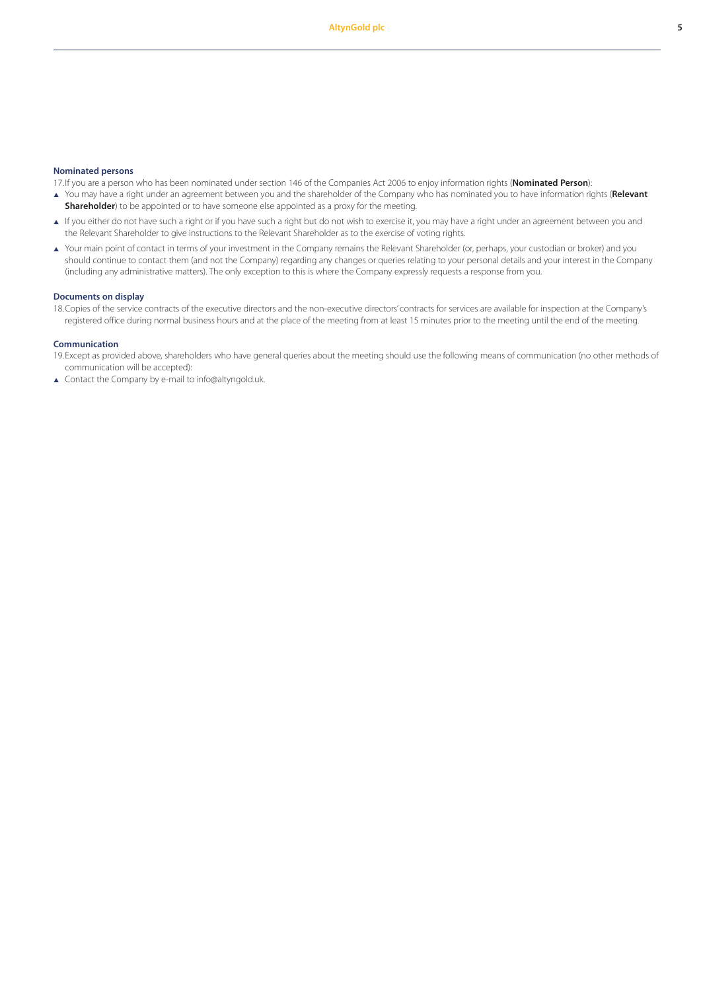#### **Nominated persons**

17.If you are a person who has been nominated under section 146 of the Companies Act 2006 to enjoy information rights (**Nominated Person**):

- <sup>p</sup> You may have a right under an agreement between you and the shareholder of the Company who has nominated you to have information rights (**Relevant Shareholder**) to be appointed or to have someone else appointed as a proxy for the meeting.
- If you either do not have such a right or if you have such a right but do not wish to exercise it, you may have a right under an agreement between you and the Relevant Shareholder to give instructions to the Relevant Shareholder as to the exercise of voting rights.
- <sup>p</sup> Your main point of contact in terms of your investment in the Company remains the Relevant Shareholder (or, perhaps, your custodian or broker) and you should continue to contact them (and not the Company) regarding any changes or queries relating to your personal details and your interest in the Company (including any administrative matters). The only exception to this is where the Company expressly requests a response from you.

### **Documents on display**

18.Copies of the service contracts of the executive directors and the non-executive directors' contracts for services are available for inspection at the Company's registered office during normal business hours and at the place of the meeting from at least 15 minutes prior to the meeting until the end of the meeting.

#### **Communication**

19.Except as provided above, shareholders who have general queries about the meeting should use the following means of communication (no other methods of communication will be accepted):

▲ Contact the Company by e-mail to info@altyngold.uk.